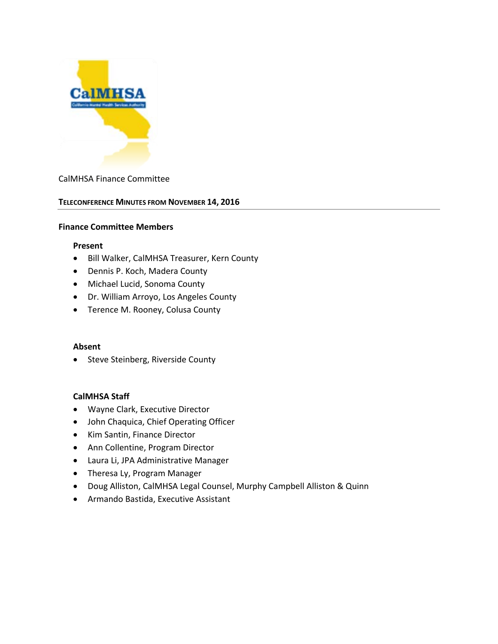

#### CalMHSA Finance Committee

#### **TELECONFERENCE MINUTES FROM NOVEMBER 14, 2016**

#### **Finance Committee Members**

#### **Present**

- Bill Walker, CalMHSA Treasurer, Kern County
- Dennis P. Koch, Madera County
- Michael Lucid, Sonoma County
- Dr. William Arroyo, Los Angeles County
- Terence M. Rooney, Colusa County

#### **Absent**

• Steve Steinberg, Riverside County

#### **CalMHSA Staff**

- Wayne Clark, Executive Director
- John Chaquica, Chief Operating Officer
- Kim Santin, Finance Director
- Ann Collentine, Program Director
- Laura Li, JPA Administrative Manager
- Theresa Ly, Program Manager
- Doug Alliston, CalMHSA Legal Counsel, Murphy Campbell Alliston & Quinn
- Armando Bastida, Executive Assistant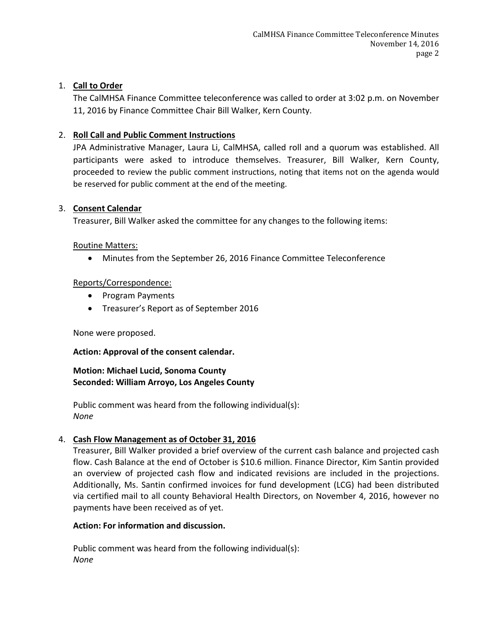# 1. **Call to Order**

The CalMHSA Finance Committee teleconference was called to order at 3:02 p.m. on November 11, 2016 by Finance Committee Chair Bill Walker, Kern County.

# 2. **Roll Call and Public Comment Instructions**

JPA Administrative Manager, Laura Li, CalMHSA, called roll and a quorum was established. All participants were asked to introduce themselves. Treasurer, Bill Walker, Kern County, proceeded to review the public comment instructions, noting that items not on the agenda would be reserved for public comment at the end of the meeting.

#### 3. **Consent Calendar**

Treasurer, Bill Walker asked the committee for any changes to the following items:

#### Routine Matters:

• Minutes from the September 26, 2016 Finance Committee Teleconference

### Reports/Correspondence:

- Program Payments
- Treasurer's Report as of September 2016

None were proposed.

### **Action: Approval of the consent calendar.**

### **Motion: Michael Lucid, Sonoma County Seconded: William Arroyo, Los Angeles County**

Public comment was heard from the following individual(s): *None*

### 4. **Cash Flow Management as of October 31, 2016**

Treasurer, Bill Walker provided a brief overview of the current cash balance and projected cash flow. Cash Balance at the end of October is \$10.6 million. Finance Director, Kim Santin provided an overview of projected cash flow and indicated revisions are included in the projections. Additionally, Ms. Santin confirmed invoices for fund development (LCG) had been distributed via certified mail to all county Behavioral Health Directors, on November 4, 2016, however no payments have been received as of yet.

### **Action: For information and discussion.**

Public comment was heard from the following individual(s): *None*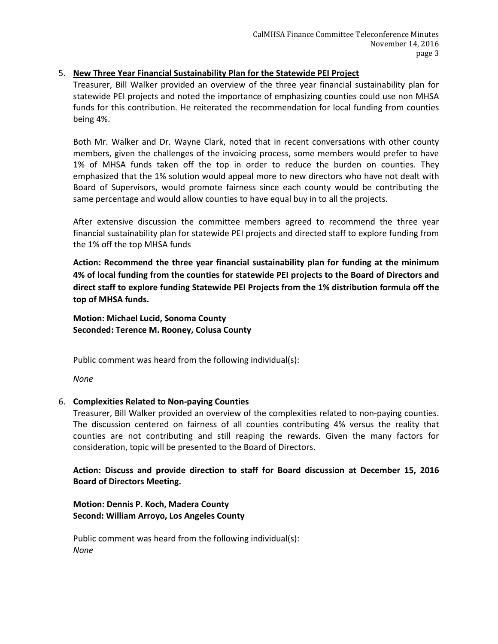## 5. **New Three Year Financial Sustainability Plan for the Statewide PEI Project**

Treasurer, Bill Walker provided an overview of the three year financial sustainability plan for statewide PEI projects and noted the importance of emphasizing counties could use non MHSA funds for this contribution. He reiterated the recommendation for local funding from counties being 4%.

Both Mr. Walker and Dr. Wayne Clark, noted that in recent conversations with other county members, given the challenges of the invoicing process, some members would prefer to have 1% of MHSA funds taken off the top in order to reduce the burden on counties. They emphasized that the 1% solution would appeal more to new directors who have not dealt with Board of Supervisors, would promote fairness since each county would be contributing the same percentage and would allow counties to have equal buy in to all the projects.

After extensive discussion the committee members agreed to recommend the three year financial sustainability plan for statewide PEI projects and directed staff to explore funding from the 1% off the top MHSA funds

**Action: Recommend the three year financial sustainability plan for funding at the minimum 4% of local funding from the counties for statewide PEI projects to the Board of Directors and direct staff to explore funding Statewide PEI Projects from the 1% distribution formula off the top of MHSA funds.**

**Motion: Michael Lucid, Sonoma County Seconded: Terence M. Rooney, Colusa County**

Public comment was heard from the following individual(s):

*None*

# 6. **Complexities Related to Non-paying Counties**

Treasurer, Bill Walker provided an overview of the complexities related to non-paying counties. The discussion centered on fairness of all counties contributing 4% versus the reality that counties are not contributing and still reaping the rewards. Given the many factors for consideration, topic will be presented to the Board of Directors.

**Action: Discuss and provide direction to staff for Board discussion at December 15, 2016 Board of Directors Meeting.**

**Motion: Dennis P. Koch, Madera County Second: William Arroyo, Los Angeles County**

Public comment was heard from the following individual(s): *None*